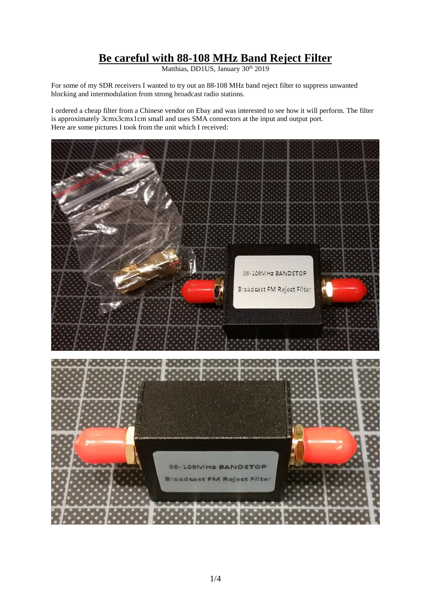## **Be careful with 88-108 MHz Band Reject Filter**

Matthias, DD1US, January 30<sup>th</sup> 2019

For some of my SDR receivers I wanted to try out an 88-108 MHz band reject filter to suppress unwanted blocking and intermodulation from strong broadcast radio stations.

I ordered a cheap filter from a Chinese vendor on Ebay and was interested to see how it will perform. The filter is approximately 3cmx3cmx1cm small and uses SMA connectors at the input and output port. Here are some pictures I took from the unit which I received:

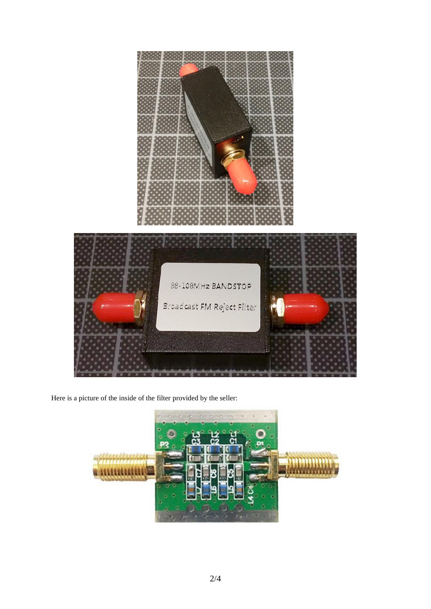

Here is a picture of the inside of the filter provided by the seller:

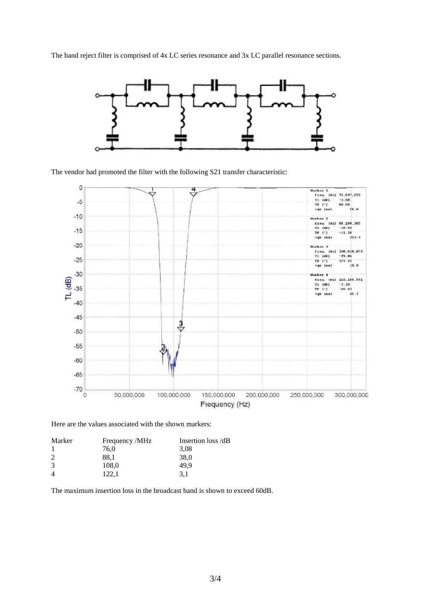The band reject filter is comprised of 4x LC series resonance and 3x LC parallel resonance sections.



The vendor had promoted the filter with the following S21 transfer characteristic:



Here are the values associated with the shown markers:

| Marker         | Frequency /MHz | Insertion loss /dB |
|----------------|----------------|--------------------|
|                | 76,0           | 3,08               |
| $\overline{c}$ | 88.1           | 38,0               |
| 3              | 108,0          | 49.9               |
| $\overline{4}$ | 122.1          | 3.1                |
|                |                |                    |

The maximum insertion loss in the broadcast band is shown to exceed 60dB.